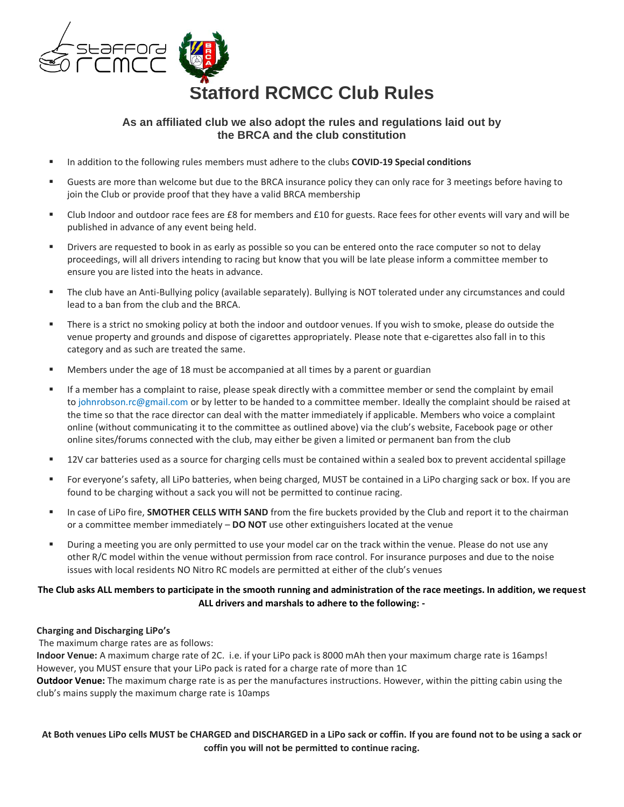

# **As an affiliated club we also adopt the rules and regulations laid out by the BRCA and the club constitution**

- In addition to the following rules members must adhere to the clubs **COVID-19 Special conditions**
- Guests are more than welcome but due to the BRCA insurance policy they can only race for 3 meetings before having to join the Club or provide proof that they have a valid BRCA membership
- Club Indoor and outdoor race fees are £8 for members and £10 for guests. Race fees for other events will vary and will be published in advance of any event being held.
- **EXECT** Drivers are requested to book in as early as possible so you can be entered onto the race computer so not to delay proceedings, will all drivers intending to racing but know that you will be late please inform a committee member to ensure you are listed into the heats in advance.
- The club have an Anti-Bullying policy (available separately). Bullying is NOT tolerated under any circumstances and could lead to a ban from the club and the BRCA.
- **EXECT** There is a strict no smoking policy at both the indoor and outdoor venues. If you wish to smoke, please do outside the venue property and grounds and dispose of cigarettes appropriately. Please note that e-cigarettes also fall in to this category and as such are treated the same.
- Members under the age of 18 must be accompanied at all times by a parent or guardian
- **■** If a member has a complaint to raise, please speak directly with a committee member or send the complaint by email to johnrobson.rc@gmail.com or by letter to be handed to a committee member. Ideally the complaint should be raised at the time so that the race director can deal with the matter immediately if applicable. Members who voice a complaint online (without communicating it to the committee as outlined above) via the club's website, Facebook page or other online sites/forums connected with the club, may either be given a limited or permanent ban from the club
- 12V car batteries used as a source for charging cells must be contained within a sealed box to prevent accidental spillage
- For everyone's safety, all LiPo batteries, when being charged, MUST be contained in a LiPo charging sack or box. If you are found to be charging without a sack you will not be permitted to continue racing.
- **EXECT IDEO FIRE THE SMOTHER CELLS WITH SAND** from the fire buckets provided by the Club and report it to the chairman or a committee member immediately – **DO NOT** use other extinguishers located at the venue
- During a meeting you are only permitted to use your model car on the track within the venue. Please do not use any other R/C model within the venue without permission from race control. For insurance purposes and due to the noise issues with local residents NO Nitro RC models are permitted at either of the club's venues

## **The Club asks ALL members to participate in the smooth running and administration of the race meetings. In addition, we request ALL drivers and marshals to adhere to the following: -**

## **Charging and Discharging LiPo's**

The maximum charge rates are as follows:

**Indoor Venue:** A maximum charge rate of 2C. i.e. if your LiPo pack is 8000 mAh then your maximum charge rate is 16amps! However, you MUST ensure that your LiPo pack is rated for a charge rate of more than 1C

**Outdoor Venue:** The maximum charge rate is as per the manufactures instructions. However, within the pitting cabin using the club's mains supply the maximum charge rate is 10amps

**At Both venues LiPo cells MUST be CHARGED and DISCHARGED in a LiPo sack or coffin. If you are found not to be using a sack or coffin you will not be permitted to continue racing.**